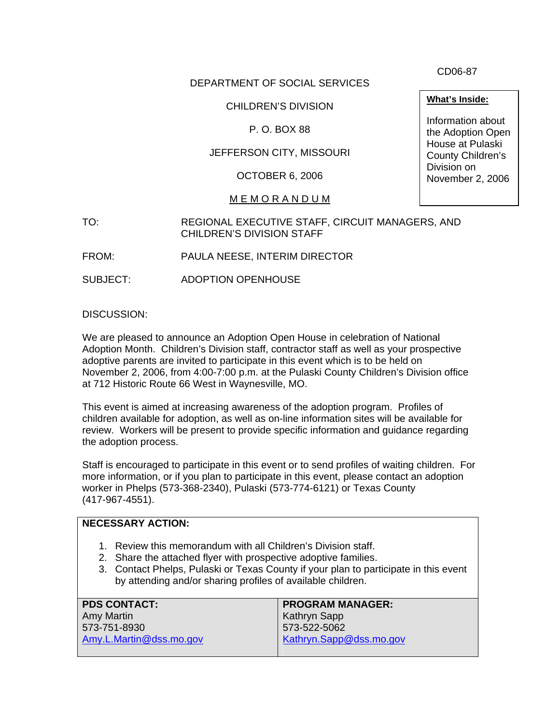DEPARTMENT OF SOCIAL SERVICES

## CHILDREN'S DIVISION

## P. O. BOX 88

# JEFFERSON CITY, MISSOURI

OCTOBER 6, 2006

#### M E M O R A N D U M

TO: REGIONAL EXECUTIVE STAFF, CIRCUIT MANAGERS, AND CHILDREN'S DIVISION STAFF

FROM: PAULA NEESE, INTERIM DIRECTOR

SUBJECT: ADOPTION OPENHOUSE

DISCUSSION:

We are pleased to announce an Adoption Open House in celebration of National Adoption Month. Children's Division staff, contractor staff as well as your prospective adoptive parents are invited to participate in this event which is to be held on November 2, 2006, from 4:00-7:00 p.m. at the Pulaski County Children's Division office at 712 Historic Route 66 West in Waynesville, MO.

This event is aimed at increasing awareness of the adoption program. Profiles of children available for adoption, as well as on-line information sites will be available for review. Workers will be present to provide specific information and guidance regarding the adoption process.

Staff is encouraged to participate in this event or to send profiles of waiting children. For more information, or if you plan to participate in this event, please contact an adoption worker in Phelps (573-368-2340), Pulaski (573-774-6121) or Texas County (417-967-4551).

## **NECESSARY ACTION:**

- 1. Review this memorandum with all Children's Division staff.
- 2. Share the attached flyer with prospective adoptive families.
- 3. Contact Phelps, Pulaski or Texas County if your plan to participate in this event by attending and/or sharing profiles of available children.

| <b>PDS CONTACT:</b>     | <b>PROGRAM MANAGER:</b> |
|-------------------------|-------------------------|
| Amy Martin              | Kathryn Sapp            |
| 573-751-8930            | 573-522-5062            |
| Amy.L.Martin@dss.mo.gov | Kathryn.Sapp@dss.mo.gov |
|                         |                         |

CD06-87

**What's Inside:**

Information about the Adoption Open House at Pulaski County Children's Division on November 2, 2006